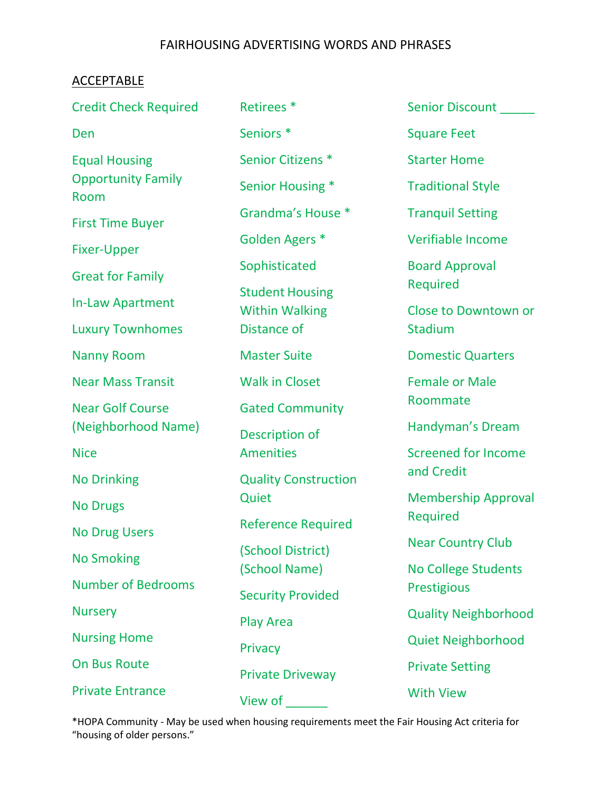### FAIRHOUSING ADVERTISING WORDS AND PHRASES

### **ACCEPTABLE**

| <b>Credit Check Required</b>      | Retirees <sup>*</sup>                       | <b>Senior Discount</b>                                                             |  |
|-----------------------------------|---------------------------------------------|------------------------------------------------------------------------------------|--|
| Den                               | Seniors <sup>*</sup>                        | <b>Square Feet</b>                                                                 |  |
| <b>Equal Housing</b>              | Senior Citizens <sup>*</sup>                | <b>Starter Home</b>                                                                |  |
| <b>Opportunity Family</b><br>Room | Senior Housing *                            | <b>Traditional Style</b>                                                           |  |
| <b>First Time Buyer</b>           | Grandma's House *                           | <b>Tranquil Setting</b>                                                            |  |
| <b>Fixer-Upper</b>                | Golden Agers *                              | <b>Verifiable Income</b>                                                           |  |
| <b>Great for Family</b>           | Sophisticated<br><b>Board Approval</b>      |                                                                                    |  |
| <b>In-Law Apartment</b>           | <b>Student Housing</b>                      | Required                                                                           |  |
| <b>Luxury Townhomes</b>           | <b>Within Walking</b><br><b>Distance of</b> | <b>Close to Downtown or</b><br>Stadium                                             |  |
| <b>Nanny Room</b>                 | <b>Master Suite</b>                         | <b>Domestic Quarters</b>                                                           |  |
| <b>Near Mass Transit</b>          | <b>Walk in Closet</b>                       | <b>Female or Male</b><br>Roommate                                                  |  |
| <b>Near Golf Course</b>           | <b>Gated Community</b>                      |                                                                                    |  |
| (Neighborhood Name)               | Description of                              | Handyman's Dream                                                                   |  |
| <b>Nice</b>                       | <b>Amenities</b>                            | <b>Screened for Income</b><br>and Credit<br><b>Membership Approval</b><br>Required |  |
| <b>No Drinking</b>                | <b>Quality Construction</b>                 |                                                                                    |  |
| <b>No Drugs</b>                   | Quiet                                       |                                                                                    |  |
| <b>No Drug Users</b>              | <b>Reference Required</b>                   |                                                                                    |  |
| <b>No Smoking</b>                 | (School District)                           | <b>Near Country Club</b><br><b>No College Students</b><br><b>Prestigious</b>       |  |
| <b>Number of Bedrooms</b>         | (School Name)<br><b>Security Provided</b>   |                                                                                    |  |
| <b>Nursery</b>                    | <b>Play Area</b>                            | <b>Quality Neighborhood</b>                                                        |  |
| <b>Nursing Home</b>               | Privacy                                     | <b>Quiet Neighborhood</b>                                                          |  |
| <b>On Bus Route</b>               | <b>Private Driveway</b>                     | <b>Private Setting</b>                                                             |  |
| <b>Private Entrance</b>           | View of                                     | <b>With View</b>                                                                   |  |

\*HOPA Community - May be used when housing requirements meet the Fair Housing Act criteria for "housing of older persons."